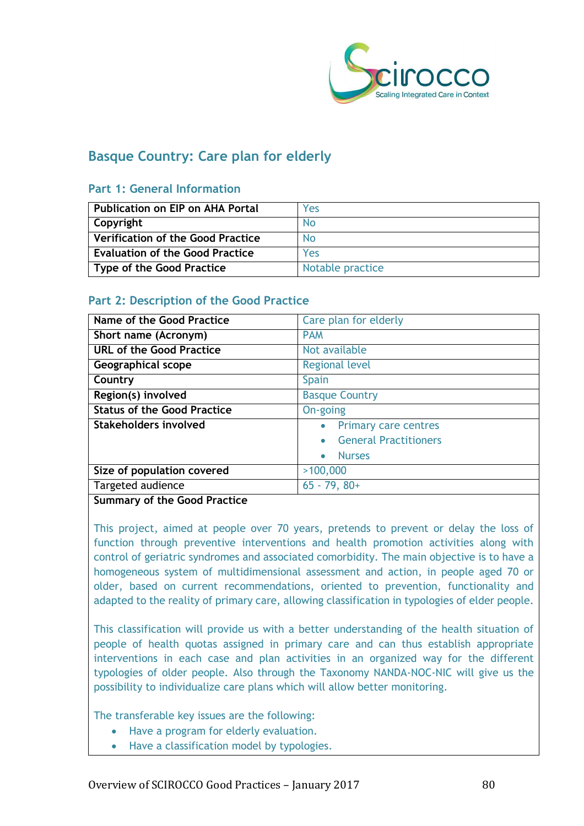

## **Basque Country: Care plan for elderly**

#### **Part 1: General Information**

| Publication on EIP on AHA Portal       | Yes              |
|----------------------------------------|------------------|
| Copyright                              | No               |
| Verification of the Good Practice      | <b>No</b>        |
| <b>Evaluation of the Good Practice</b> | Yes              |
| Type of the Good Practice              | Notable practice |

## **Part 2: Description of the Good Practice**

| Name of the Good Practice          | Care plan for elderly      |
|------------------------------------|----------------------------|
| Short name (Acronym)               | <b>PAM</b>                 |
| <b>URL of the Good Practice</b>    | Not available              |
| Geographical scope                 | <b>Regional level</b>      |
| Country                            | Spain                      |
| Region(s) involved                 | <b>Basque Country</b>      |
| <b>Status of the Good Practice</b> | On-going                   |
| Stakeholders involved              | • Primary care centres     |
|                                    | • General Practitioners    |
|                                    | <b>Nurses</b><br>$\bullet$ |
| Size of population covered         | >100,000                   |
| Targeted audience                  | $65 - 79, 80+$             |

#### **Summary of the Good Practice**

This project, aimed at people over 70 years, pretends to prevent or delay the loss of function through preventive interventions and health promotion activities along with control of geriatric syndromes and associated comorbidity. The main objective is to have a homogeneous system of multidimensional assessment and action, in people aged 70 or older, based on current recommendations, oriented to prevention, functionality and adapted to the reality of primary care, allowing classification in typologies of elder people.

This classification will provide us with a better understanding of the health situation of people of health quotas assigned in primary care and can thus establish appropriate interventions in each case and plan activities in an organized way for the different typologies of older people. Also through the Taxonomy NANDA-NOC-NIC will give us the possibility to individualize care plans which will allow better monitoring.

The transferable key issues are the following:

- Have a program for elderly evaluation.
- Have a classification model by typologies.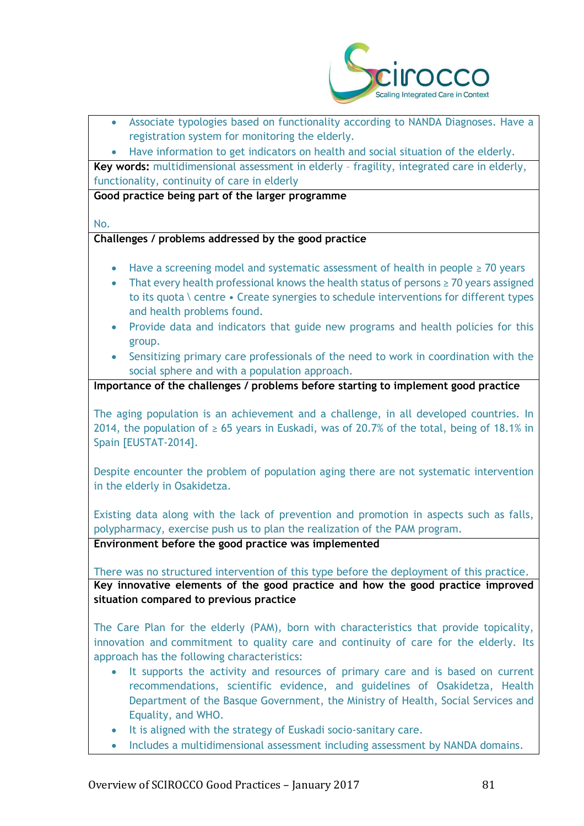

- Associate typologies based on functionality according to NANDA Diagnoses. Have a registration system for monitoring the elderly.
- Have information to get indicators on health and social situation of the elderly.

**Key words:** multidimensional assessment in elderly – fragility, integrated care in elderly, functionality, continuity of care in elderly

**Good practice being part of the larger programme**

No.

#### **Challenges / problems addressed by the good practice**

- Have a screening model and systematic assessment of health in people ≥ 70 years
- That every health professional knows the health status of persons ≥ 70 years assigned to its quota \ centre • Create synergies to schedule interventions for different types and health problems found.
- Provide data and indicators that guide new programs and health policies for this group.
- Sensitizing primary care professionals of the need to work in coordination with the social sphere and with a population approach.

**Importance of the challenges / problems before starting to implement good practice**

The aging population is an achievement and a challenge, in all developed countries. In 2014, the population of  $\geq 65$  years in Euskadi, was of 20.7% of the total, being of 18.1% in Spain [EUSTAT-2014].

Despite encounter the problem of population aging there are not systematic intervention in the elderly in Osakidetza.

Existing data along with the lack of prevention and promotion in aspects such as falls, polypharmacy, exercise push us to plan the realization of the PAM program.

**Environment before the good practice was implemented** 

There was no structured intervention of this type before the deployment of this practice. **Key innovative elements of the good practice and how the good practice improved situation compared to previous practice**

The Care Plan for the elderly (PAM), born with characteristics that provide topicality, innovation and commitment to quality care and continuity of care for the elderly. Its approach has the following characteristics:

- It supports the activity and resources of primary care and is based on current recommendations, scientific evidence, and guidelines of Osakidetza, Health Department of the Basque Government, the Ministry of Health, Social Services and Equality, and WHO.
- It is aligned with the strategy of Euskadi socio-sanitary care.
- Includes a multidimensional assessment including assessment by NANDA domains.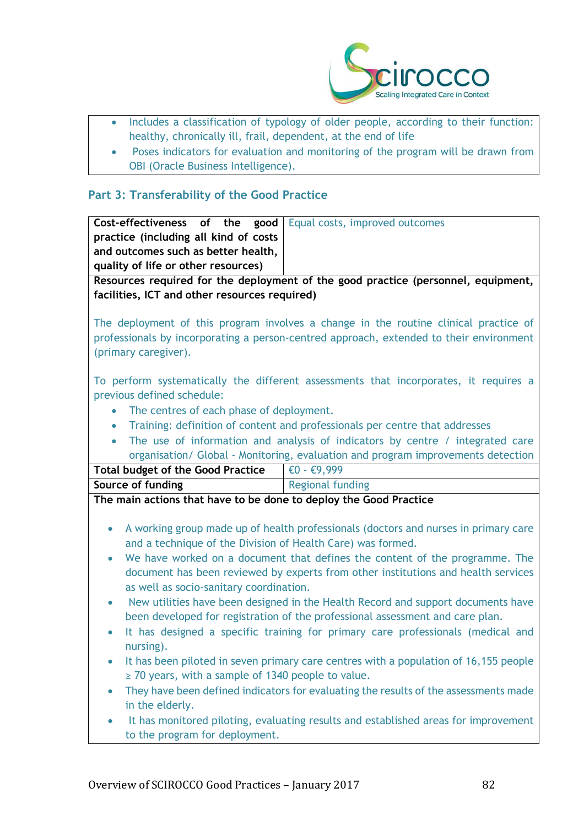

- Includes a classification of typology of older people, according to their function: healthy, chronically ill, frail, dependent, at the end of life
- Poses indicators for evaluation and monitoring of the program will be drawn from OBI (Oracle Business Intelligence).

## **Part 3: Transferability of the Good Practice**

| Cost-effectiveness of the good                                                             | Equal costs, improved outcomes                                                       |  |
|--------------------------------------------------------------------------------------------|--------------------------------------------------------------------------------------|--|
| practice (including all kind of costs                                                      |                                                                                      |  |
| and outcomes such as better health,                                                        |                                                                                      |  |
| quality of life or other resources)                                                        |                                                                                      |  |
| Resources required for the deployment of the good practice (personnel, equipment,          |                                                                                      |  |
| facilities, ICT and other resources required)                                              |                                                                                      |  |
|                                                                                            |                                                                                      |  |
| The deployment of this program involves a change in the routine clinical practice of       |                                                                                      |  |
| professionals by incorporating a person-centred approach, extended to their environment    |                                                                                      |  |
| (primary caregiver).                                                                       |                                                                                      |  |
|                                                                                            |                                                                                      |  |
|                                                                                            | To perform systematically the different assessments that incorporates, it requires a |  |
| previous defined schedule:                                                                 |                                                                                      |  |
| The centres of each phase of deployment.<br>$\bullet$                                      |                                                                                      |  |
| Training: definition of content and professionals per centre that addresses<br>$\bullet$   |                                                                                      |  |
| The use of information and analysis of indicators by centre / integrated care<br>$\bullet$ |                                                                                      |  |
|                                                                                            |                                                                                      |  |
| organisation/ Global - Monitoring, evaluation and program improvements detection           |                                                                                      |  |
| <b>Total budget of the Good Practice</b>                                                   | $\overline{\epsilon}0 - \epsilon$ 9,999                                              |  |
| Source of funding                                                                          | <b>Regional funding</b>                                                              |  |
| The main actions that have to be done to deploy the Good Practice                          |                                                                                      |  |
|                                                                                            |                                                                                      |  |
| ۰                                                                                          | A working group made up of health professionals (doctors and nurses in primary care  |  |
| and a technique of the Division of Health Care) was formed.                                |                                                                                      |  |
| ۰                                                                                          | We have worked on a document that defines the content of the programme. The          |  |
|                                                                                            | document has been reviewed by experts from other institutions and health services    |  |
| as well as socio-sanitary coordination.                                                    |                                                                                      |  |
| New utilities have been designed in the Health Record and support documents have<br>۰      |                                                                                      |  |
| been developed for registration of the professional assessment and care plan.              |                                                                                      |  |
| It has designed a specific training for primary care professionals (medical and<br>٠       |                                                                                      |  |
| nursing).                                                                                  |                                                                                      |  |
| It has been piloted in seven primary care centres with a population of 16,155 people       |                                                                                      |  |
| $\ge$ 70 years, with a sample of 1340 people to value.                                     |                                                                                      |  |
| They have been defined indicators for evaluating the results of the assessments made       |                                                                                      |  |
| in the elderly.                                                                            |                                                                                      |  |
|                                                                                            | It has monitored piloting, evaluating results and established areas for improvement  |  |
| to the program for deployment.                                                             |                                                                                      |  |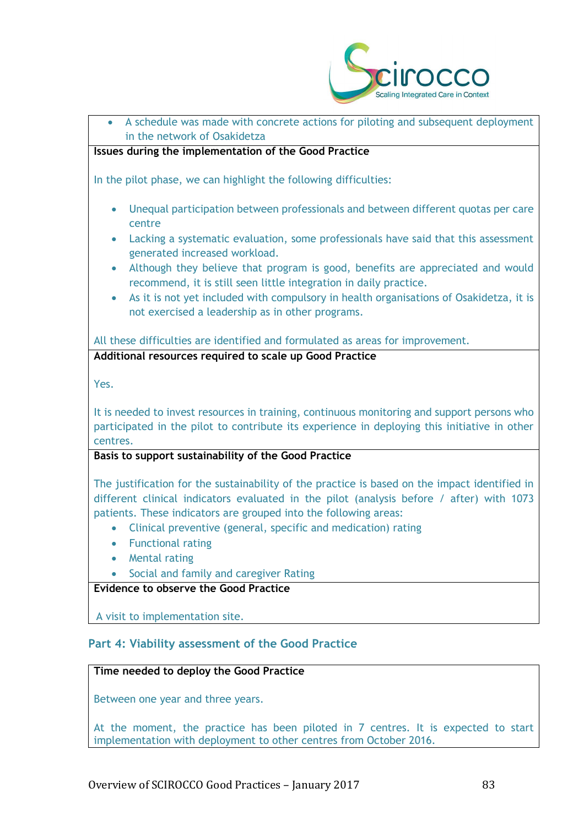

# • A schedule was made with concrete actions for piloting and subsequent deployment in the network of Osakidetza **Issues during the implementation of the Good Practice** In the pilot phase, we can highlight the following difficulties: • Unequal participation between professionals and between different quotas per care centre • Lacking a systematic evaluation, some professionals have said that this assessment generated increased workload. • Although they believe that program is good, benefits are appreciated and would recommend, it is still seen little integration in daily practice. • As it is not yet included with compulsory in health organisations of Osakidetza, it is not exercised a leadership as in other programs. All these difficulties are identified and formulated as areas for improvement. **Additional resources required to scale up Good Practice** Yes. It is needed to invest resources in training, continuous monitoring and support persons who participated in the pilot to contribute its experience in deploying this initiative in other centres. **Basis to support sustainability of the Good Practice** The justification for the sustainability of the practice is based on the impact identified in different clinical indicators evaluated in the pilot (analysis before / after) with 1073 patients. These indicators are grouped into the following areas: • Clinical preventive (general, specific and medication) rating • Functional rating • Mental rating • Social and family and caregiver Rating **Evidence to observe the Good Practice** A visit to implementation site.

#### **Part 4: Viability assessment of the Good Practice**

#### **Time needed to deploy the Good Practice**

Between one year and three years.

At the moment, the practice has been piloted in 7 centres. It is expected to start implementation with deployment to other centres from October 2016.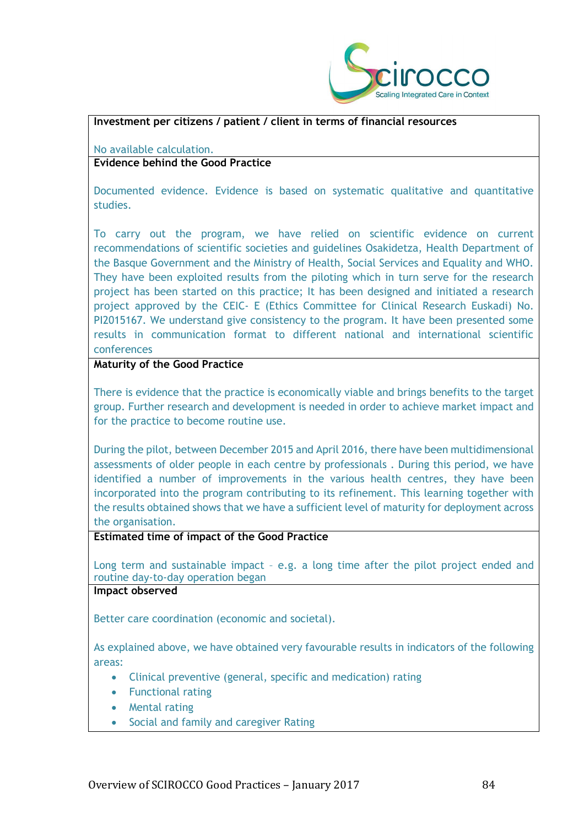

#### **Investment per citizens / patient / client in terms of financial resources**

No available calculation.

#### **Evidence behind the Good Practice**

Documented evidence. Evidence is based on systematic qualitative and quantitative studies.

To carry out the program, we have relied on scientific evidence on current recommendations of scientific societies and guidelines Osakidetza, Health Department of the Basque Government and the Ministry of Health, Social Services and Equality and WHO. They have been exploited results from the piloting which in turn serve for the research project has been started on this practice; It has been designed and initiated a research project approved by the CEIC- E (Ethics Committee for Clinical Research Euskadi) No. PI2015167. We understand give consistency to the program. It have been presented some results in communication format to different national and international scientific conferences

#### **Maturity of the Good Practice**

There is evidence that the practice is economically viable and brings benefits to the target group. Further research and development is needed in order to achieve market impact and for the practice to become routine use.

During the pilot, between December 2015 and April 2016, there have been multidimensional assessments of older people in each centre by professionals . During this period, we have identified a number of improvements in the various health centres, they have been incorporated into the program contributing to its refinement. This learning together with the results obtained shows that we have a sufficient level of maturity for deployment across the organisation.

#### **Estimated time of impact of the Good Practice**

Long term and sustainable impact – e.g. a long time after the pilot project ended and routine day-to-day operation began

#### **Impact observed**

Better care coordination (economic and societal).

As explained above, we have obtained very favourable results in indicators of the following areas:

- Clinical preventive (general, specific and medication) rating
- Functional rating
- Mental rating
- Social and family and caregiver Rating